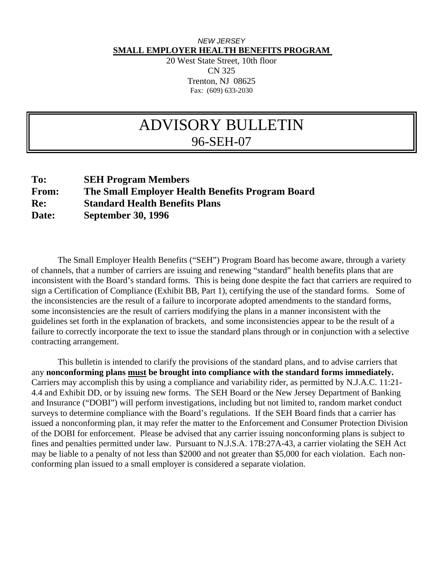#### *NEW JERSEY*  **SMALL EMPLOYER HEALTH BENEFITS PROGRAM**

20 West State Street, 10th floor CN 325 Trenton, NJ 08625 Fax: (609) 633-2030

# ADVISORY BULLETIN 96-SEH-07

| To:          | <b>SEH Program Members</b>                       |
|--------------|--------------------------------------------------|
| <b>From:</b> | The Small Employer Health Benefits Program Board |
| Re:          | <b>Standard Health Benefits Plans</b>            |
| Date:        | <b>September 30, 1996</b>                        |

 The Small Employer Health Benefits ("SEH") Program Board has become aware, through a variety of channels, that a number of carriers are issuing and renewing "standard" health benefits plans that are inconsistent with the Board's standard forms. This is being done despite the fact that carriers are required to sign a Certification of Compliance (Exhibit BB, Part 1), certifying the use of the standard forms. Some of the inconsistencies are the result of a failure to incorporate adopted amendments to the standard forms, some inconsistencies are the result of carriers modifying the plans in a manner inconsistent with the guidelines set forth in the explanation of brackets, and some inconsistencies appear to be the result of a failure to correctly incorporate the text to issue the standard plans through or in conjunction with a selective contracting arrangement.

 This bulletin is intended to clarify the provisions of the standard plans, and to advise carriers that any **nonconforming plans must be brought into compliance with the standard forms immediately.**  Carriers may accomplish this by using a compliance and variability rider, as permitted by N.J.A.C. 11:21- 4.4 and Exhibit DD, or by issuing new forms. The SEH Board or the New Jersey Department of Banking and Insurance ("DOBI") will perform investigations, including but not limited to, random market conduct surveys to determine compliance with the Board's regulations. If the SEH Board finds that a carrier has issued a nonconforming plan, it may refer the matter to the Enforcement and Consumer Protection Division of the DOBI for enforcement. Please be advised that any carrier issuing nonconforming plans is subject to fines and penalties permitted under law. Pursuant to N.J.S.A. 17B:27A-43, a carrier violating the SEH Act may be liable to a penalty of not less than \$2000 and not greater than \$5,000 for each violation. Each nonconforming plan issued to a small employer is considered a separate violation.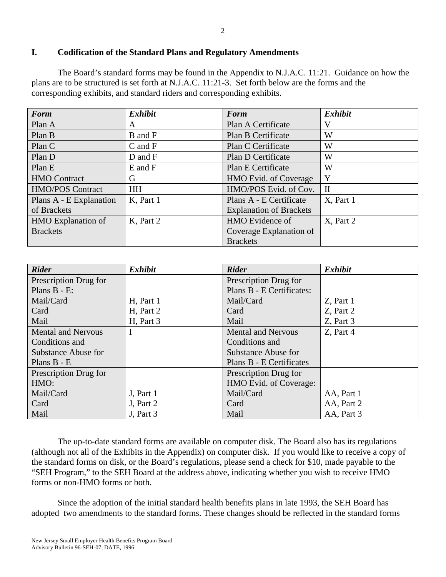## **I. Codification of the Standard Plans and Regulatory Amendments**

 The Board's standard forms may be found in the Appendix to N.J.A.C. 11:21. Guidance on how the plans are to be structured is set forth at N.J.A.C. 11:21-3. Set forth below are the forms and the corresponding exhibits, and standard riders and corresponding exhibits.

| <b>Form</b>               | <b>Exhibit</b> | <b>Form</b>                    | <b>Exhibit</b> |
|---------------------------|----------------|--------------------------------|----------------|
| Plan A                    | A              | Plan A Certificate             | V              |
| Plan B                    | B and F        | Plan B Certificate             | W              |
| Plan C                    | $C$ and $F$    | Plan C Certificate             | W              |
| Plan D                    | D and F        | Plan D Certificate             | W              |
| Plan E                    | $E$ and $F$    | Plan E Certificate             | W              |
| <b>HMO</b> Contract       | G              | HMO Evid. of Coverage          | Y              |
| <b>HMO/POS Contract</b>   | <b>HH</b>      | HMO/POS Evid. of Cov.          | $\mathbf{I}$   |
| Plans A - E Explanation   | K, Part 1      | Plans A - E Certificate        | X, Part 1      |
| of Brackets               |                | <b>Explanation of Brackets</b> |                |
| <b>HMO</b> Explanation of | K, Part 2      | HMO Evidence of                | X, Part 2      |
| <b>Brackets</b>           |                | Coverage Explanation of        |                |
|                           |                | <b>Brackets</b>                |                |

| <b>Rider</b>              | <b>Exhibit</b> | <b>Rider</b>              | <b>Exhibit</b> |
|---------------------------|----------------|---------------------------|----------------|
| Prescription Drug for     |                | Prescription Drug for     |                |
| Plans $B - E$ :           |                | Plans B - E Certificates: |                |
| Mail/Card                 | H, Part 1      | Mail/Card                 | Z, Part 1      |
| Card                      | H, Part 2      | Card                      | Z, Part 2      |
| Mail                      | H, Part 3      | Mail                      | Z, Part 3      |
| <b>Mental and Nervous</b> |                | <b>Mental and Nervous</b> | Z, Part 4      |
| Conditions and            |                | Conditions and            |                |
| Substance Abuse for       |                | Substance Abuse for       |                |
| Plans $B - E$             |                | Plans B - E Certificates  |                |
| Prescription Drug for     |                | Prescription Drug for     |                |
| HMO:                      |                | HMO Evid. of Coverage:    |                |
| Mail/Card                 | J, Part 1      | Mail/Card                 | AA, Part 1     |
| Card                      | J, Part 2      | Card                      | AA, Part 2     |
| Mail                      | J, Part 3      | Mail                      | AA, Part 3     |

 The up-to-date standard forms are available on computer disk. The Board also has its regulations (although not all of the Exhibits in the Appendix) on computer disk. If you would like to receive a copy of the standard forms on disk, or the Board's regulations, please send a check for \$10, made payable to the "SEH Program," to the SEH Board at the address above, indicating whether you wish to receive HMO forms or non-HMO forms or both.

 Since the adoption of the initial standard health benefits plans in late 1993, the SEH Board has adopted two amendments to the standard forms. These changes should be reflected in the standard forms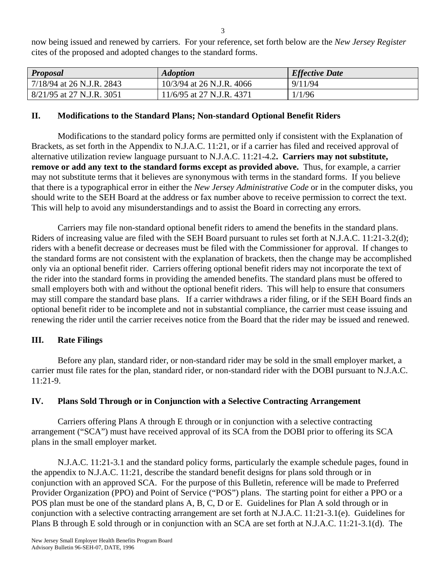now being issued and renewed by carriers. For your reference, set forth below are the *New Jersey Register* cites of the proposed and adopted changes to the standard forms.

| <b>Proposal</b>           | <i><b>Adoption</b></i>      | <b>Effective Date</b> |
|---------------------------|-----------------------------|-----------------------|
| 7/18/94 at 26 N.J.R. 2843 | $10/3/94$ at 26 N.J.R. 4066 | 9/11/94               |
| 8/21/95 at 27 N.J.R. 3051 | 11/6/95 at 27 N.J.R. 4371   | 1/1/96                |

#### **II. Modifications to the Standard Plans; Non-standard Optional Benefit Riders**

 Modifications to the standard policy forms are permitted only if consistent with the Explanation of Brackets, as set forth in the Appendix to N.J.A.C. 11:21, or if a carrier has filed and received approval of alternative utilization review language pursuant to N.J.A.C. 11:21-4.2**. Carriers may not substitute, remove or add any text to the standard forms except as provided above.** Thus, for example, a carrier may not substitute terms that it believes are synonymous with terms in the standard forms. If you believe that there is a typographical error in either the *New Jersey Administrative Code* or in the computer disks, you should write to the SEH Board at the address or fax number above to receive permission to correct the text. This will help to avoid any misunderstandings and to assist the Board in correcting any errors.

 Carriers may file non-standard optional benefit riders to amend the benefits in the standard plans. Riders of increasing value are filed with the SEH Board pursuant to rules set forth at N.J.A.C. 11:21-3.2(d); riders with a benefit decrease or decreases must be filed with the Commissioner for approval. If changes to the standard forms are not consistent with the explanation of brackets, then the change may be accomplished only via an optional benefit rider. Carriers offering optional benefit riders may not incorporate the text of the rider into the standard forms in providing the amended benefits. The standard plans must be offered to small employers both with and without the optional benefit riders. This will help to ensure that consumers may still compare the standard base plans. If a carrier withdraws a rider filing, or if the SEH Board finds an optional benefit rider to be incomplete and not in substantial compliance, the carrier must cease issuing and renewing the rider until the carrier receives notice from the Board that the rider may be issued and renewed.

#### **III. Rate Filings**

 Before any plan, standard rider, or non-standard rider may be sold in the small employer market, a carrier must file rates for the plan, standard rider, or non-standard rider with the DOBI pursuant to N.J.A.C. 11:21-9.

#### **IV. Plans Sold Through or in Conjunction with a Selective Contracting Arrangement**

 Carriers offering Plans A through E through or in conjunction with a selective contracting arrangement ("SCA") must have received approval of its SCA from the DOBI prior to offering its SCA plans in the small employer market.

 N.J.A.C. 11:21-3.1 and the standard policy forms, particularly the example schedule pages, found in the appendix to N.J.A.C. 11:21, describe the standard benefit designs for plans sold through or in conjunction with an approved SCA. For the purpose of this Bulletin, reference will be made to Preferred Provider Organization (PPO) and Point of Service ("POS") plans. The starting point for either a PPO or a POS plan must be one of the standard plans A, B, C, D or E. Guidelines for Plan A sold through or in conjunction with a selective contracting arrangement are set forth at N.J.A.C. 11:21-3.1(e). Guidelines for Plans B through E sold through or in conjunction with an SCA are set forth at N.J.A.C. 11:21-3.1(d). The